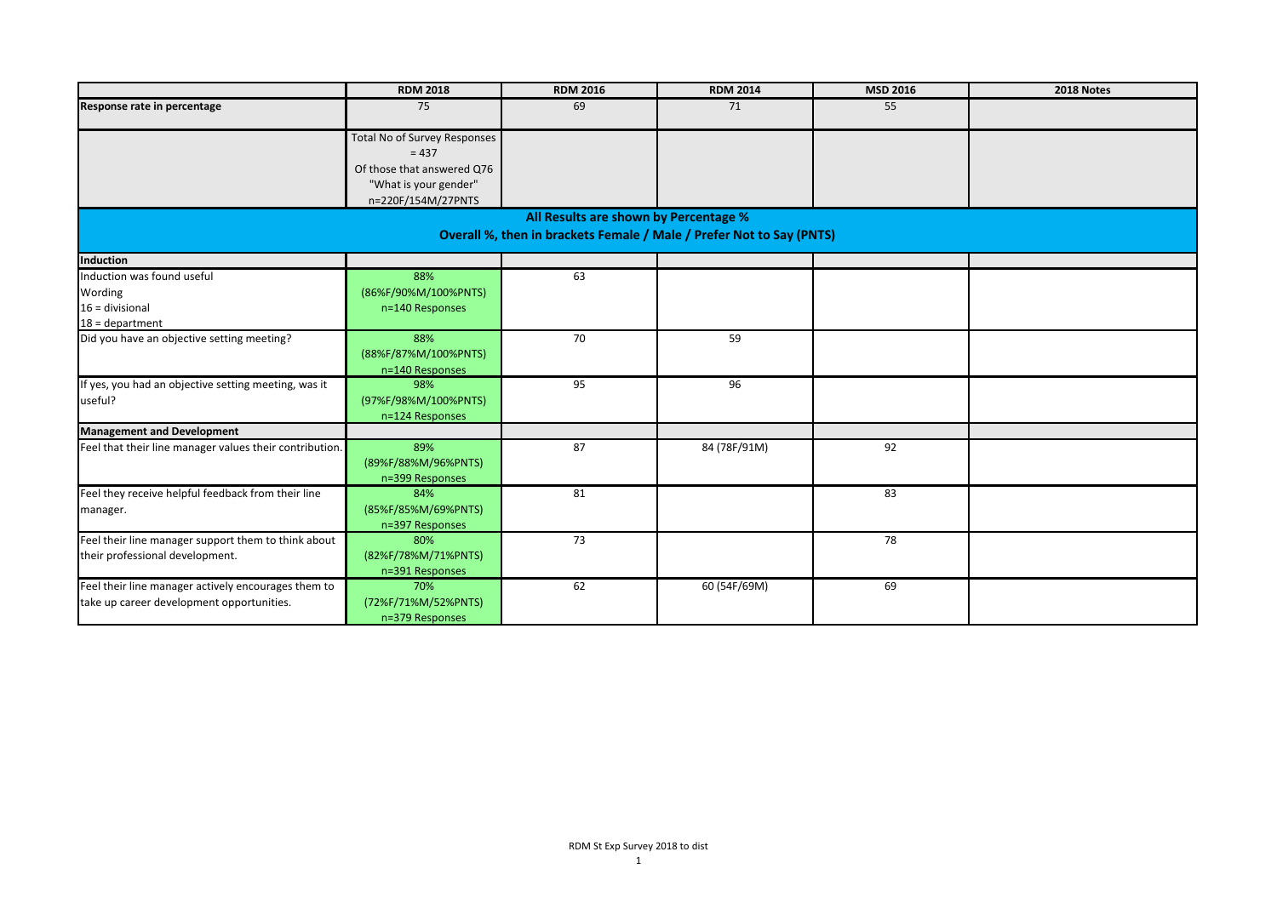|                                                                                                  | <b>RDM 2018</b>                                                                                                             | <b>RDM 2016</b>                                                                                               | <b>RDM 2014</b> | MSD 2016 | 2018 Notes |
|--------------------------------------------------------------------------------------------------|-----------------------------------------------------------------------------------------------------------------------------|---------------------------------------------------------------------------------------------------------------|-----------------|----------|------------|
| Response rate in percentage                                                                      | 75                                                                                                                          | 69                                                                                                            | 71              | 55       |            |
|                                                                                                  | <b>Total No of Survey Responses</b><br>$= 437$<br>Of those that answered Q76<br>"What is your gender"<br>n=220F/154M/27PNTS |                                                                                                               |                 |          |            |
|                                                                                                  |                                                                                                                             | All Results are shown by Percentage %<br>Overall %, then in brackets Female / Male / Prefer Not to Say (PNTS) |                 |          |            |
| Induction                                                                                        |                                                                                                                             |                                                                                                               |                 |          |            |
| Induction was found useful<br>Wording<br>$16 =$ divisional<br>$18 =$ department                  | 88%<br>(86%F/90%M/100%PNTS)<br>n=140 Responses                                                                              | 63                                                                                                            |                 |          |            |
| Did you have an objective setting meeting?                                                       | 88%<br>(88%F/87%M/100%PNTS)<br>n=140 Responses                                                                              | 70                                                                                                            | 59              |          |            |
| If yes, you had an objective setting meeting, was it<br>useful?                                  | 98%<br>(97%F/98%M/100%PNTS)<br>n=124 Responses                                                                              | 95                                                                                                            | 96              |          |            |
| <b>Management and Development</b>                                                                |                                                                                                                             |                                                                                                               |                 |          |            |
| Feel that their line manager values their contribution.                                          | 89%<br>(89%F/88%M/96%PNTS)<br>n=399 Responses                                                                               | 87                                                                                                            | 84 (78F/91M)    | 92       |            |
| Feel they receive helpful feedback from their line<br>manager.                                   | 84%<br>(85%F/85%M/69%PNTS)<br>n=397 Responses                                                                               | 81                                                                                                            |                 | 83       |            |
| Feel their line manager support them to think about<br>their professional development.           | 80%<br>(82%F/78%M/71%PNTS)<br>n=391 Responses                                                                               | 73                                                                                                            |                 | 78       |            |
| Feel their line manager actively encourages them to<br>take up career development opportunities. | 70%<br>(72%F/71%M/52%PNTS)<br>n=379 Responses                                                                               | 62                                                                                                            | 60 (54F/69M)    | 69       |            |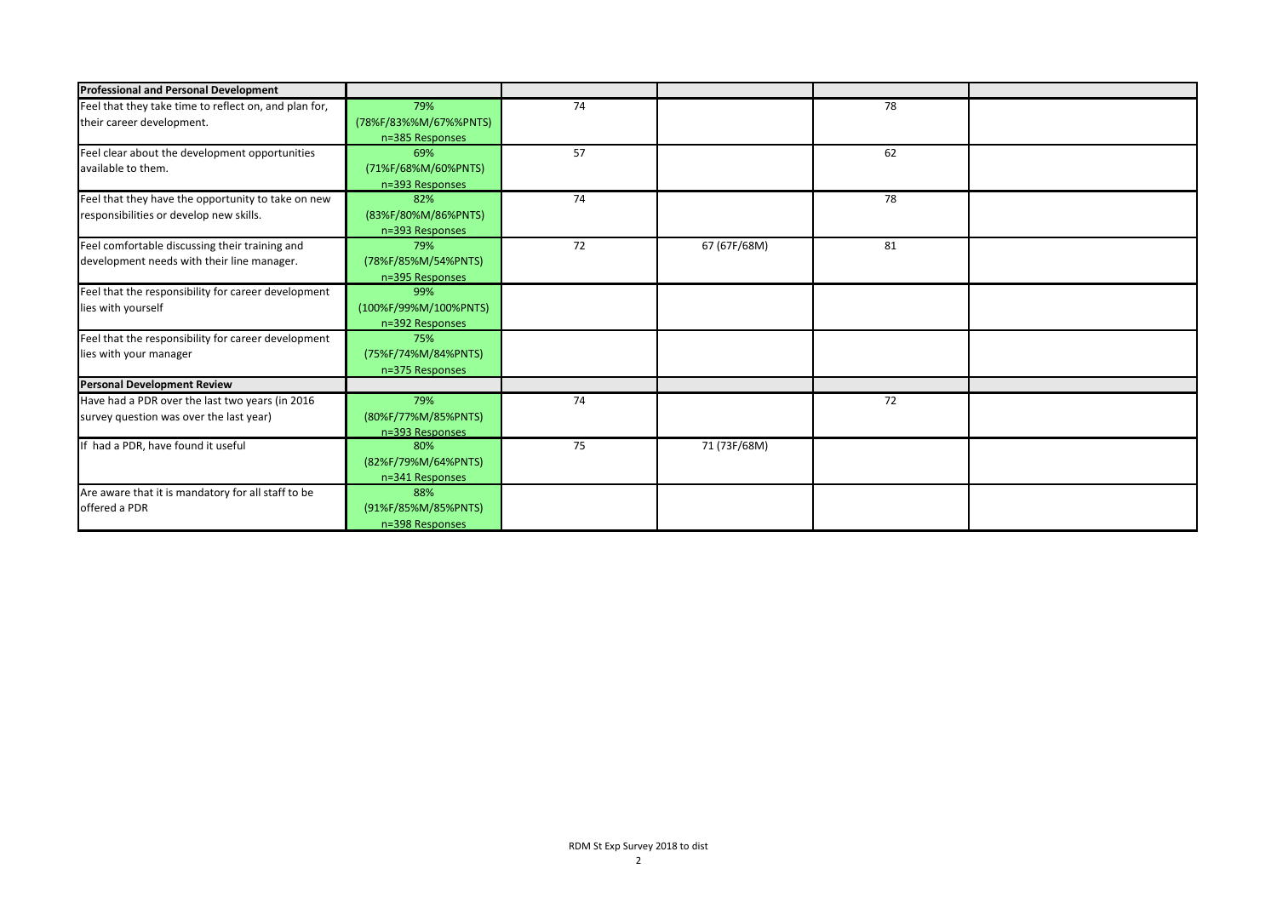| <b>Professional and Personal Development</b>          |                       |    |              |    |  |
|-------------------------------------------------------|-----------------------|----|--------------|----|--|
| Feel that they take time to reflect on, and plan for, | 79%                   | 74 |              | 78 |  |
| their career development.                             | (78%F/83%%M/67%%PNTS) |    |              |    |  |
|                                                       | n=385 Responses       |    |              |    |  |
| Feel clear about the development opportunities        | 69%                   | 57 |              | 62 |  |
| available to them.                                    | (71%F/68%M/60%PNTS)   |    |              |    |  |
|                                                       | n=393 Responses       |    |              |    |  |
| Feel that they have the opportunity to take on new    | 82%                   | 74 |              | 78 |  |
| responsibilities or develop new skills.               | (83%F/80%M/86%PNTS)   |    |              |    |  |
|                                                       | n=393 Responses       |    |              |    |  |
| Feel comfortable discussing their training and        | 79%                   | 72 | 67 (67F/68M) | 81 |  |
| development needs with their line manager.            | (78%F/85%M/54%PNTS)   |    |              |    |  |
|                                                       | n=395 Responses       |    |              |    |  |
| Feel that the responsibility for career development   | 99%                   |    |              |    |  |
| lies with yourself                                    | (100%F/99%M/100%PNTS) |    |              |    |  |
|                                                       | n=392 Responses       |    |              |    |  |
| Feel that the responsibility for career development   | 75%                   |    |              |    |  |
| lies with your manager                                | (75%F/74%M/84%PNTS)   |    |              |    |  |
|                                                       | n=375 Responses       |    |              |    |  |
| <b>Personal Development Review</b>                    |                       |    |              |    |  |
| Have had a PDR over the last two years (in 2016       | 79%                   | 74 |              | 72 |  |
| survey question was over the last year)               | (80%F/77%M/85%PNTS)   |    |              |    |  |
|                                                       | n=393 Responses       |    |              |    |  |
| If had a PDR, have found it useful                    | 80%                   | 75 | 71 (73F/68M) |    |  |
|                                                       | (82%F/79%M/64%PNTS)   |    |              |    |  |
|                                                       | n=341 Responses       |    |              |    |  |
| Are aware that it is mandatory for all staff to be    | 88%                   |    |              |    |  |
| offered a PDR                                         | (91%F/85%M/85%PNTS)   |    |              |    |  |
|                                                       | n=398 Responses       |    |              |    |  |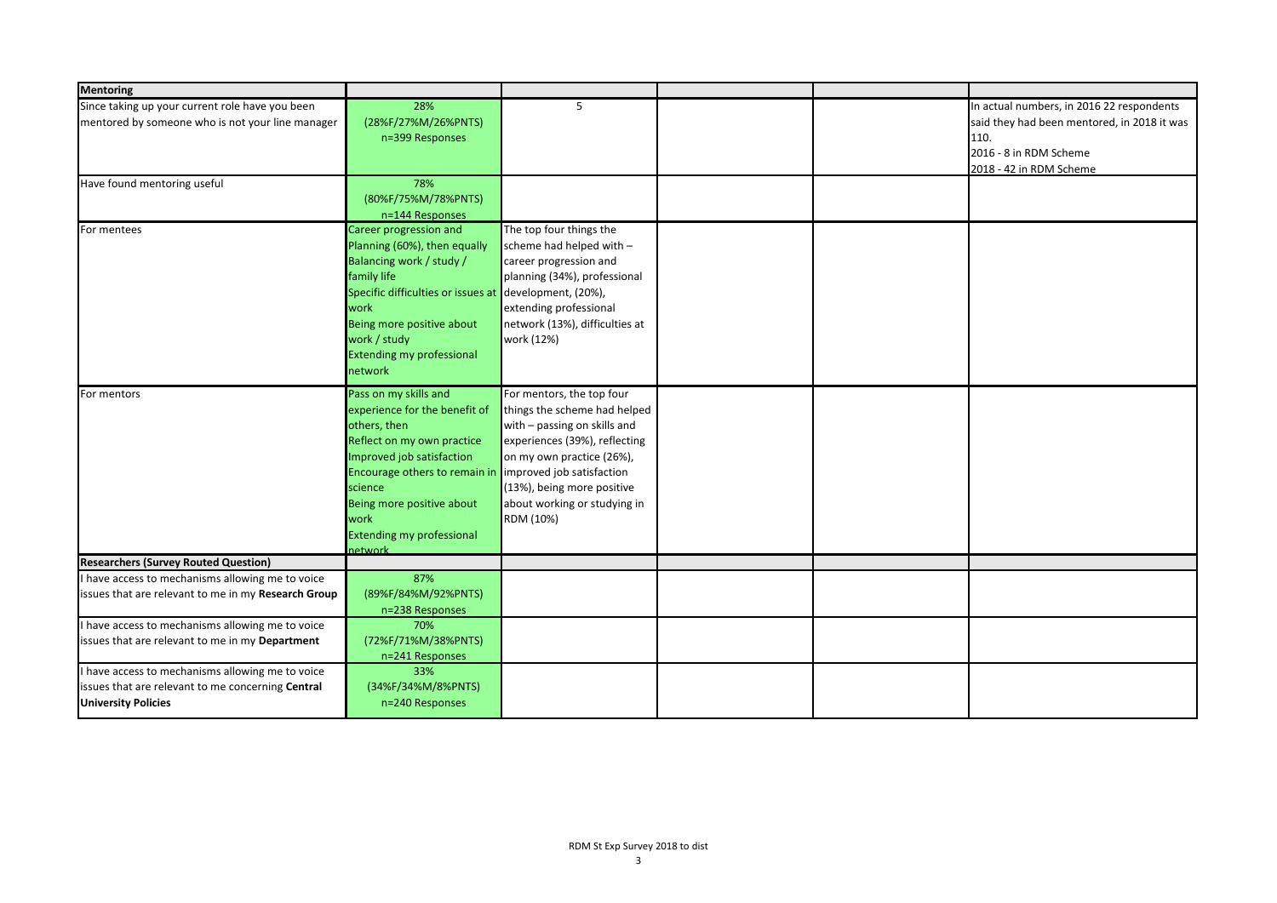| 28%<br>5<br>In actual numbers, in 2016 22 respondents<br>(28%F/27%M/26%PNTS)<br>said they had been mentored, in 2018 it was<br>110.<br>n=399 Responses<br>2016 - 8 in RDM Scheme<br>2018 - 42 in RDM Scheme<br>78%<br>(80%F/75%M/78%PNTS)<br>n=144 Responses<br>The top four things the<br>Career progression and<br>Planning (60%), then equally<br>scheme had helped with -<br>Balancing work / study /<br>career progression and<br>family life<br>planning (34%), professional<br>Specific difficulties or issues at development, (20%),<br>work<br>extending professional<br>Being more positive about<br>network (13%), difficulties at<br>work / study<br>work (12%)<br><b>Extending my professional</b><br>network<br>Pass on my skills and<br>For mentors, the top four<br>experience for the benefit of<br>things the scheme had helped<br>others, then<br>with - passing on skills and<br>Reflect on my own practice<br>experiences (39%), reflecting<br>Improved job satisfaction<br>on my own practice (26%),<br>improved job satisfaction<br>Encourage others to remain in<br>(13%), being more positive<br>science<br>Being more positive about<br>about working or studying in<br>RDM (10%)<br>work<br><b>Extending my professional</b><br><b>network</b><br>87%<br>I have access to mechanisms allowing me to voice<br>(89%F/84%M/92%PNTS)<br>issues that are relevant to me in my Research Group<br>n=238 Responses<br>I have access to mechanisms allowing me to voice<br>70%<br>(72%F/71%M/38%PNTS)<br>issues that are relevant to me in my Department<br>n=241 Responses<br>I have access to mechanisms allowing me to voice<br>33%<br>(34%F/34%M/8%PNTS)<br>issues that are relevant to me concerning Central | <b>Mentoring</b>                                 |  |  |  |
|-------------------------------------------------------------------------------------------------------------------------------------------------------------------------------------------------------------------------------------------------------------------------------------------------------------------------------------------------------------------------------------------------------------------------------------------------------------------------------------------------------------------------------------------------------------------------------------------------------------------------------------------------------------------------------------------------------------------------------------------------------------------------------------------------------------------------------------------------------------------------------------------------------------------------------------------------------------------------------------------------------------------------------------------------------------------------------------------------------------------------------------------------------------------------------------------------------------------------------------------------------------------------------------------------------------------------------------------------------------------------------------------------------------------------------------------------------------------------------------------------------------------------------------------------------------------------------------------------------------------------------------------------------------------------------------------------------------------------------------|--------------------------------------------------|--|--|--|
|                                                                                                                                                                                                                                                                                                                                                                                                                                                                                                                                                                                                                                                                                                                                                                                                                                                                                                                                                                                                                                                                                                                                                                                                                                                                                                                                                                                                                                                                                                                                                                                                                                                                                                                                     | Since taking up your current role have you been  |  |  |  |
|                                                                                                                                                                                                                                                                                                                                                                                                                                                                                                                                                                                                                                                                                                                                                                                                                                                                                                                                                                                                                                                                                                                                                                                                                                                                                                                                                                                                                                                                                                                                                                                                                                                                                                                                     | mentored by someone who is not your line manager |  |  |  |
|                                                                                                                                                                                                                                                                                                                                                                                                                                                                                                                                                                                                                                                                                                                                                                                                                                                                                                                                                                                                                                                                                                                                                                                                                                                                                                                                                                                                                                                                                                                                                                                                                                                                                                                                     |                                                  |  |  |  |
|                                                                                                                                                                                                                                                                                                                                                                                                                                                                                                                                                                                                                                                                                                                                                                                                                                                                                                                                                                                                                                                                                                                                                                                                                                                                                                                                                                                                                                                                                                                                                                                                                                                                                                                                     |                                                  |  |  |  |
|                                                                                                                                                                                                                                                                                                                                                                                                                                                                                                                                                                                                                                                                                                                                                                                                                                                                                                                                                                                                                                                                                                                                                                                                                                                                                                                                                                                                                                                                                                                                                                                                                                                                                                                                     |                                                  |  |  |  |
|                                                                                                                                                                                                                                                                                                                                                                                                                                                                                                                                                                                                                                                                                                                                                                                                                                                                                                                                                                                                                                                                                                                                                                                                                                                                                                                                                                                                                                                                                                                                                                                                                                                                                                                                     | Have found mentoring useful                      |  |  |  |
|                                                                                                                                                                                                                                                                                                                                                                                                                                                                                                                                                                                                                                                                                                                                                                                                                                                                                                                                                                                                                                                                                                                                                                                                                                                                                                                                                                                                                                                                                                                                                                                                                                                                                                                                     |                                                  |  |  |  |
|                                                                                                                                                                                                                                                                                                                                                                                                                                                                                                                                                                                                                                                                                                                                                                                                                                                                                                                                                                                                                                                                                                                                                                                                                                                                                                                                                                                                                                                                                                                                                                                                                                                                                                                                     |                                                  |  |  |  |
|                                                                                                                                                                                                                                                                                                                                                                                                                                                                                                                                                                                                                                                                                                                                                                                                                                                                                                                                                                                                                                                                                                                                                                                                                                                                                                                                                                                                                                                                                                                                                                                                                                                                                                                                     | For mentees                                      |  |  |  |
|                                                                                                                                                                                                                                                                                                                                                                                                                                                                                                                                                                                                                                                                                                                                                                                                                                                                                                                                                                                                                                                                                                                                                                                                                                                                                                                                                                                                                                                                                                                                                                                                                                                                                                                                     |                                                  |  |  |  |
|                                                                                                                                                                                                                                                                                                                                                                                                                                                                                                                                                                                                                                                                                                                                                                                                                                                                                                                                                                                                                                                                                                                                                                                                                                                                                                                                                                                                                                                                                                                                                                                                                                                                                                                                     |                                                  |  |  |  |
|                                                                                                                                                                                                                                                                                                                                                                                                                                                                                                                                                                                                                                                                                                                                                                                                                                                                                                                                                                                                                                                                                                                                                                                                                                                                                                                                                                                                                                                                                                                                                                                                                                                                                                                                     |                                                  |  |  |  |
|                                                                                                                                                                                                                                                                                                                                                                                                                                                                                                                                                                                                                                                                                                                                                                                                                                                                                                                                                                                                                                                                                                                                                                                                                                                                                                                                                                                                                                                                                                                                                                                                                                                                                                                                     |                                                  |  |  |  |
|                                                                                                                                                                                                                                                                                                                                                                                                                                                                                                                                                                                                                                                                                                                                                                                                                                                                                                                                                                                                                                                                                                                                                                                                                                                                                                                                                                                                                                                                                                                                                                                                                                                                                                                                     |                                                  |  |  |  |
|                                                                                                                                                                                                                                                                                                                                                                                                                                                                                                                                                                                                                                                                                                                                                                                                                                                                                                                                                                                                                                                                                                                                                                                                                                                                                                                                                                                                                                                                                                                                                                                                                                                                                                                                     |                                                  |  |  |  |
|                                                                                                                                                                                                                                                                                                                                                                                                                                                                                                                                                                                                                                                                                                                                                                                                                                                                                                                                                                                                                                                                                                                                                                                                                                                                                                                                                                                                                                                                                                                                                                                                                                                                                                                                     |                                                  |  |  |  |
|                                                                                                                                                                                                                                                                                                                                                                                                                                                                                                                                                                                                                                                                                                                                                                                                                                                                                                                                                                                                                                                                                                                                                                                                                                                                                                                                                                                                                                                                                                                                                                                                                                                                                                                                     |                                                  |  |  |  |
|                                                                                                                                                                                                                                                                                                                                                                                                                                                                                                                                                                                                                                                                                                                                                                                                                                                                                                                                                                                                                                                                                                                                                                                                                                                                                                                                                                                                                                                                                                                                                                                                                                                                                                                                     |                                                  |  |  |  |
|                                                                                                                                                                                                                                                                                                                                                                                                                                                                                                                                                                                                                                                                                                                                                                                                                                                                                                                                                                                                                                                                                                                                                                                                                                                                                                                                                                                                                                                                                                                                                                                                                                                                                                                                     | For mentors                                      |  |  |  |
|                                                                                                                                                                                                                                                                                                                                                                                                                                                                                                                                                                                                                                                                                                                                                                                                                                                                                                                                                                                                                                                                                                                                                                                                                                                                                                                                                                                                                                                                                                                                                                                                                                                                                                                                     |                                                  |  |  |  |
|                                                                                                                                                                                                                                                                                                                                                                                                                                                                                                                                                                                                                                                                                                                                                                                                                                                                                                                                                                                                                                                                                                                                                                                                                                                                                                                                                                                                                                                                                                                                                                                                                                                                                                                                     |                                                  |  |  |  |
|                                                                                                                                                                                                                                                                                                                                                                                                                                                                                                                                                                                                                                                                                                                                                                                                                                                                                                                                                                                                                                                                                                                                                                                                                                                                                                                                                                                                                                                                                                                                                                                                                                                                                                                                     |                                                  |  |  |  |
|                                                                                                                                                                                                                                                                                                                                                                                                                                                                                                                                                                                                                                                                                                                                                                                                                                                                                                                                                                                                                                                                                                                                                                                                                                                                                                                                                                                                                                                                                                                                                                                                                                                                                                                                     |                                                  |  |  |  |
|                                                                                                                                                                                                                                                                                                                                                                                                                                                                                                                                                                                                                                                                                                                                                                                                                                                                                                                                                                                                                                                                                                                                                                                                                                                                                                                                                                                                                                                                                                                                                                                                                                                                                                                                     |                                                  |  |  |  |
|                                                                                                                                                                                                                                                                                                                                                                                                                                                                                                                                                                                                                                                                                                                                                                                                                                                                                                                                                                                                                                                                                                                                                                                                                                                                                                                                                                                                                                                                                                                                                                                                                                                                                                                                     |                                                  |  |  |  |
|                                                                                                                                                                                                                                                                                                                                                                                                                                                                                                                                                                                                                                                                                                                                                                                                                                                                                                                                                                                                                                                                                                                                                                                                                                                                                                                                                                                                                                                                                                                                                                                                                                                                                                                                     |                                                  |  |  |  |
|                                                                                                                                                                                                                                                                                                                                                                                                                                                                                                                                                                                                                                                                                                                                                                                                                                                                                                                                                                                                                                                                                                                                                                                                                                                                                                                                                                                                                                                                                                                                                                                                                                                                                                                                     |                                                  |  |  |  |
|                                                                                                                                                                                                                                                                                                                                                                                                                                                                                                                                                                                                                                                                                                                                                                                                                                                                                                                                                                                                                                                                                                                                                                                                                                                                                                                                                                                                                                                                                                                                                                                                                                                                                                                                     |                                                  |  |  |  |
|                                                                                                                                                                                                                                                                                                                                                                                                                                                                                                                                                                                                                                                                                                                                                                                                                                                                                                                                                                                                                                                                                                                                                                                                                                                                                                                                                                                                                                                                                                                                                                                                                                                                                                                                     |                                                  |  |  |  |
|                                                                                                                                                                                                                                                                                                                                                                                                                                                                                                                                                                                                                                                                                                                                                                                                                                                                                                                                                                                                                                                                                                                                                                                                                                                                                                                                                                                                                                                                                                                                                                                                                                                                                                                                     | <b>Researchers (Survey Routed Question)</b>      |  |  |  |
|                                                                                                                                                                                                                                                                                                                                                                                                                                                                                                                                                                                                                                                                                                                                                                                                                                                                                                                                                                                                                                                                                                                                                                                                                                                                                                                                                                                                                                                                                                                                                                                                                                                                                                                                     |                                                  |  |  |  |
|                                                                                                                                                                                                                                                                                                                                                                                                                                                                                                                                                                                                                                                                                                                                                                                                                                                                                                                                                                                                                                                                                                                                                                                                                                                                                                                                                                                                                                                                                                                                                                                                                                                                                                                                     |                                                  |  |  |  |
|                                                                                                                                                                                                                                                                                                                                                                                                                                                                                                                                                                                                                                                                                                                                                                                                                                                                                                                                                                                                                                                                                                                                                                                                                                                                                                                                                                                                                                                                                                                                                                                                                                                                                                                                     |                                                  |  |  |  |
|                                                                                                                                                                                                                                                                                                                                                                                                                                                                                                                                                                                                                                                                                                                                                                                                                                                                                                                                                                                                                                                                                                                                                                                                                                                                                                                                                                                                                                                                                                                                                                                                                                                                                                                                     |                                                  |  |  |  |
|                                                                                                                                                                                                                                                                                                                                                                                                                                                                                                                                                                                                                                                                                                                                                                                                                                                                                                                                                                                                                                                                                                                                                                                                                                                                                                                                                                                                                                                                                                                                                                                                                                                                                                                                     |                                                  |  |  |  |
|                                                                                                                                                                                                                                                                                                                                                                                                                                                                                                                                                                                                                                                                                                                                                                                                                                                                                                                                                                                                                                                                                                                                                                                                                                                                                                                                                                                                                                                                                                                                                                                                                                                                                                                                     |                                                  |  |  |  |
|                                                                                                                                                                                                                                                                                                                                                                                                                                                                                                                                                                                                                                                                                                                                                                                                                                                                                                                                                                                                                                                                                                                                                                                                                                                                                                                                                                                                                                                                                                                                                                                                                                                                                                                                     |                                                  |  |  |  |
|                                                                                                                                                                                                                                                                                                                                                                                                                                                                                                                                                                                                                                                                                                                                                                                                                                                                                                                                                                                                                                                                                                                                                                                                                                                                                                                                                                                                                                                                                                                                                                                                                                                                                                                                     |                                                  |  |  |  |
| n=240 Responses                                                                                                                                                                                                                                                                                                                                                                                                                                                                                                                                                                                                                                                                                                                                                                                                                                                                                                                                                                                                                                                                                                                                                                                                                                                                                                                                                                                                                                                                                                                                                                                                                                                                                                                     | <b>University Policies</b>                       |  |  |  |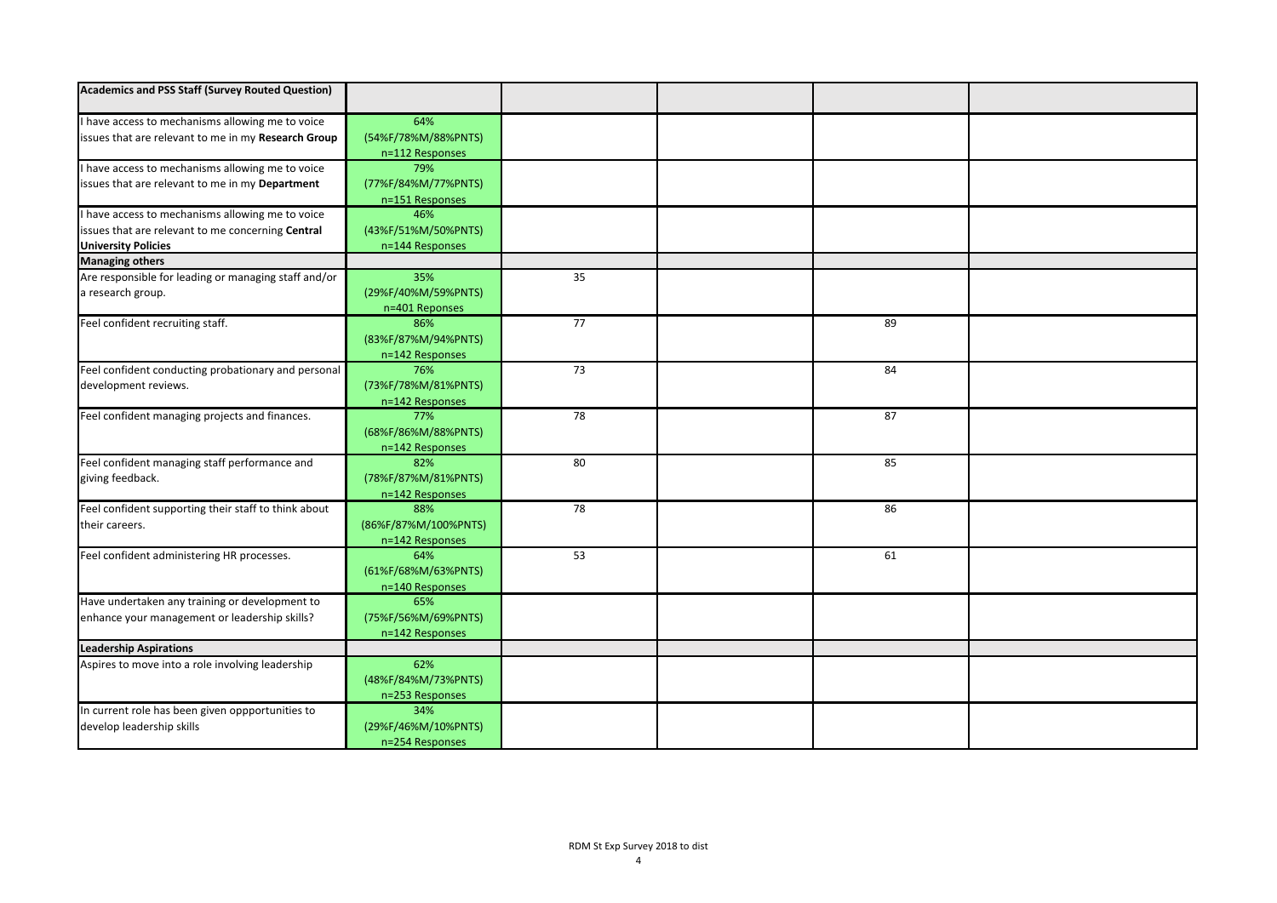| <b>Academics and PSS Staff (Survey Routed Question)</b> |                      |                 |    |  |
|---------------------------------------------------------|----------------------|-----------------|----|--|
| I have access to mechanisms allowing me to voice        | 64%                  |                 |    |  |
| issues that are relevant to me in my Research Group     | (54%F/78%M/88%PNTS)  |                 |    |  |
|                                                         | n=112 Responses      |                 |    |  |
| I have access to mechanisms allowing me to voice        | 79%                  |                 |    |  |
| issues that are relevant to me in my Department         | (77%F/84%M/77%PNTS)  |                 |    |  |
|                                                         | n=151 Responses      |                 |    |  |
| I have access to mechanisms allowing me to voice        | 46%                  |                 |    |  |
| issues that are relevant to me concerning Central       | (43%F/51%M/50%PNTS)  |                 |    |  |
| <b>University Policies</b>                              | n=144 Responses      |                 |    |  |
| <b>Managing others</b>                                  |                      |                 |    |  |
| Are responsible for leading or managing staff and/or    | 35%                  | 35              |    |  |
| a research group.                                       | (29%F/40%M/59%PNTS)  |                 |    |  |
|                                                         | n=401 Reponses       |                 |    |  |
| Feel confident recruiting staff.                        | 86%                  | $\overline{77}$ | 89 |  |
|                                                         | (83%F/87%M/94%PNTS)  |                 |    |  |
|                                                         | n=142 Responses      |                 |    |  |
| Feel confident conducting probationary and personal     | 76%                  | 73              | 84 |  |
| development reviews.                                    | (73%F/78%M/81%PNTS)  |                 |    |  |
|                                                         | n=142 Responses      |                 |    |  |
| Feel confident managing projects and finances.          | 77%                  | $\overline{78}$ | 87 |  |
|                                                         | (68%F/86%M/88%PNTS)  |                 |    |  |
|                                                         | n=142 Responses      |                 |    |  |
| Feel confident managing staff performance and           | 82%                  | 80              | 85 |  |
| giving feedback.                                        | (78%F/87%M/81%PNTS)  |                 |    |  |
|                                                         | n=142 Responses      |                 |    |  |
| Feel confident supporting their staff to think about    | 88%                  | 78              | 86 |  |
| their careers.                                          | (86%F/87%M/100%PNTS) |                 |    |  |
|                                                         | n=142 Responses      |                 |    |  |
| Feel confident administering HR processes.              | 64%                  | 53              | 61 |  |
|                                                         | (61%F/68%M/63%PNTS)  |                 |    |  |
|                                                         | n=140 Responses      |                 |    |  |
| Have undertaken any training or development to          | 65%                  |                 |    |  |
| enhance your management or leadership skills?           | (75%F/56%M/69%PNTS)  |                 |    |  |
|                                                         | n=142 Responses      |                 |    |  |
| <b>Leadership Aspirations</b>                           |                      |                 |    |  |
| Aspires to move into a role involving leadership        | 62%                  |                 |    |  |
|                                                         | (48%F/84%M/73%PNTS)  |                 |    |  |
|                                                         | n=253 Responses      |                 |    |  |
| In current role has been given oppportunities to        | 34%                  |                 |    |  |
| develop leadership skills                               | (29%F/46%M/10%PNTS)  |                 |    |  |
|                                                         | n=254 Responses      |                 |    |  |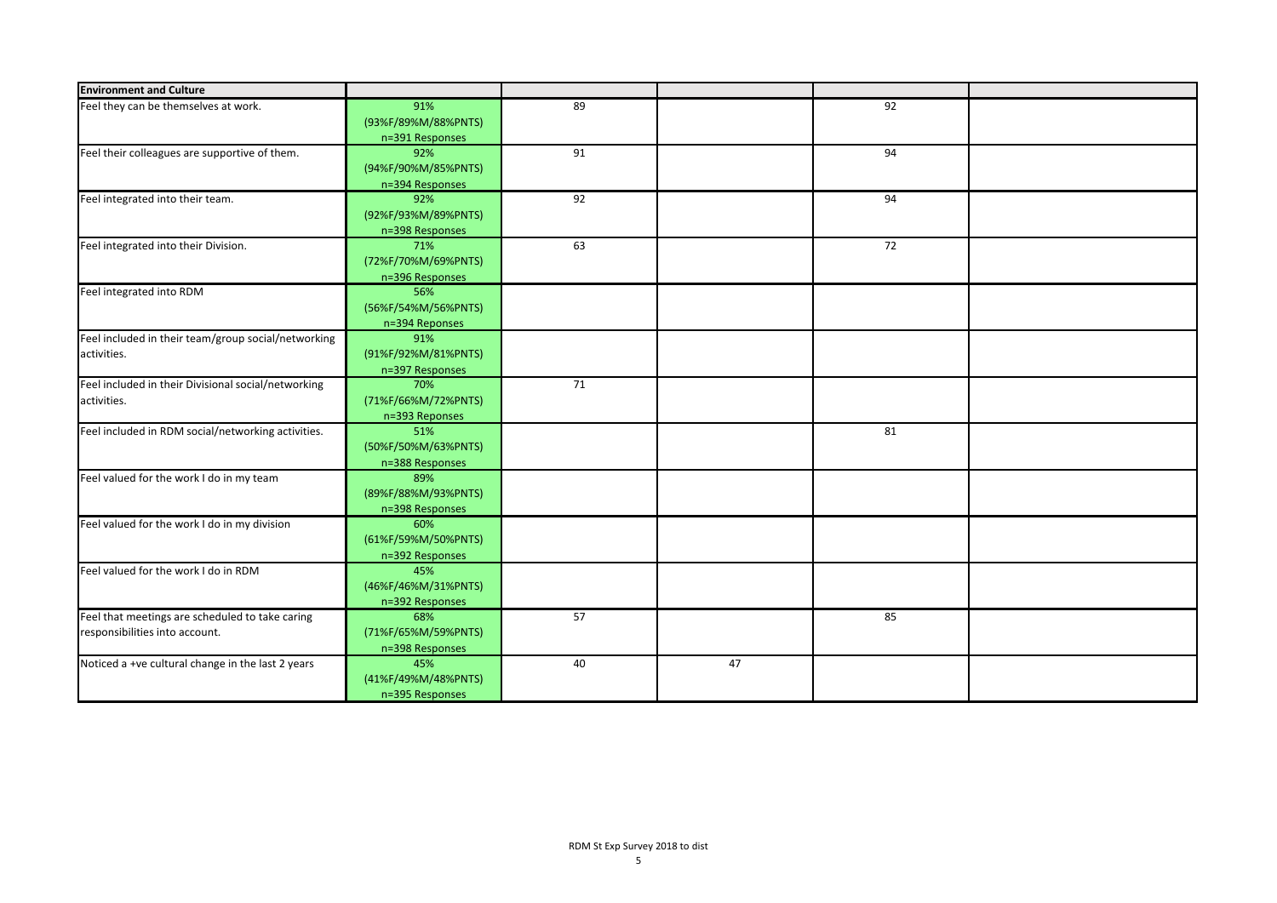| <b>Environment and Culture</b>                      |                     |    |    |    |  |
|-----------------------------------------------------|---------------------|----|----|----|--|
| Feel they can be themselves at work.                | 91%                 | 89 |    | 92 |  |
|                                                     | (93%F/89%M/88%PNTS) |    |    |    |  |
|                                                     | n=391 Responses     |    |    |    |  |
| Feel their colleagues are supportive of them.       | 92%                 | 91 |    | 94 |  |
|                                                     | (94%F/90%M/85%PNTS) |    |    |    |  |
|                                                     | n=394 Responses     |    |    |    |  |
| Feel integrated into their team.                    | 92%                 | 92 |    | 94 |  |
|                                                     | (92%F/93%M/89%PNTS) |    |    |    |  |
|                                                     | n=398 Responses     |    |    |    |  |
| Feel integrated into their Division.                | 71%                 | 63 |    | 72 |  |
|                                                     | (72%F/70%M/69%PNTS) |    |    |    |  |
|                                                     | n=396 Responses     |    |    |    |  |
| Feel integrated into RDM                            | 56%                 |    |    |    |  |
|                                                     | (56%F/54%M/56%PNTS) |    |    |    |  |
|                                                     | n=394 Reponses      |    |    |    |  |
| Feel included in their team/group social/networking | 91%                 |    |    |    |  |
| activities.                                         | (91%F/92%M/81%PNTS) |    |    |    |  |
|                                                     | n=397 Responses     |    |    |    |  |
| Feel included in their Divisional social/networking | 70%                 | 71 |    |    |  |
| activities.                                         | (71%F/66%M/72%PNTS) |    |    |    |  |
|                                                     | n=393 Reponses      |    |    |    |  |
| Feel included in RDM social/networking activities.  | 51%                 |    |    | 81 |  |
|                                                     | (50%F/50%M/63%PNTS) |    |    |    |  |
|                                                     | n=388 Responses     |    |    |    |  |
| Feel valued for the work I do in my team            | 89%                 |    |    |    |  |
|                                                     | (89%F/88%M/93%PNTS) |    |    |    |  |
|                                                     | n=398 Responses     |    |    |    |  |
| Feel valued for the work I do in my division        | 60%                 |    |    |    |  |
|                                                     | (61%F/59%M/50%PNTS) |    |    |    |  |
|                                                     | n=392 Responses     |    |    |    |  |
| Feel valued for the work I do in RDM                | 45%                 |    |    |    |  |
|                                                     | (46%F/46%M/31%PNTS) |    |    |    |  |
|                                                     | n=392 Responses     |    |    |    |  |
| Feel that meetings are scheduled to take caring     | 68%                 | 57 |    | 85 |  |
| responsibilities into account.                      | (71%F/65%M/59%PNTS) |    |    |    |  |
|                                                     | n=398 Responses     |    |    |    |  |
| Noticed a +ve cultural change in the last 2 years   | 45%                 | 40 | 47 |    |  |
|                                                     | (41%F/49%M/48%PNTS) |    |    |    |  |
|                                                     | n=395 Responses     |    |    |    |  |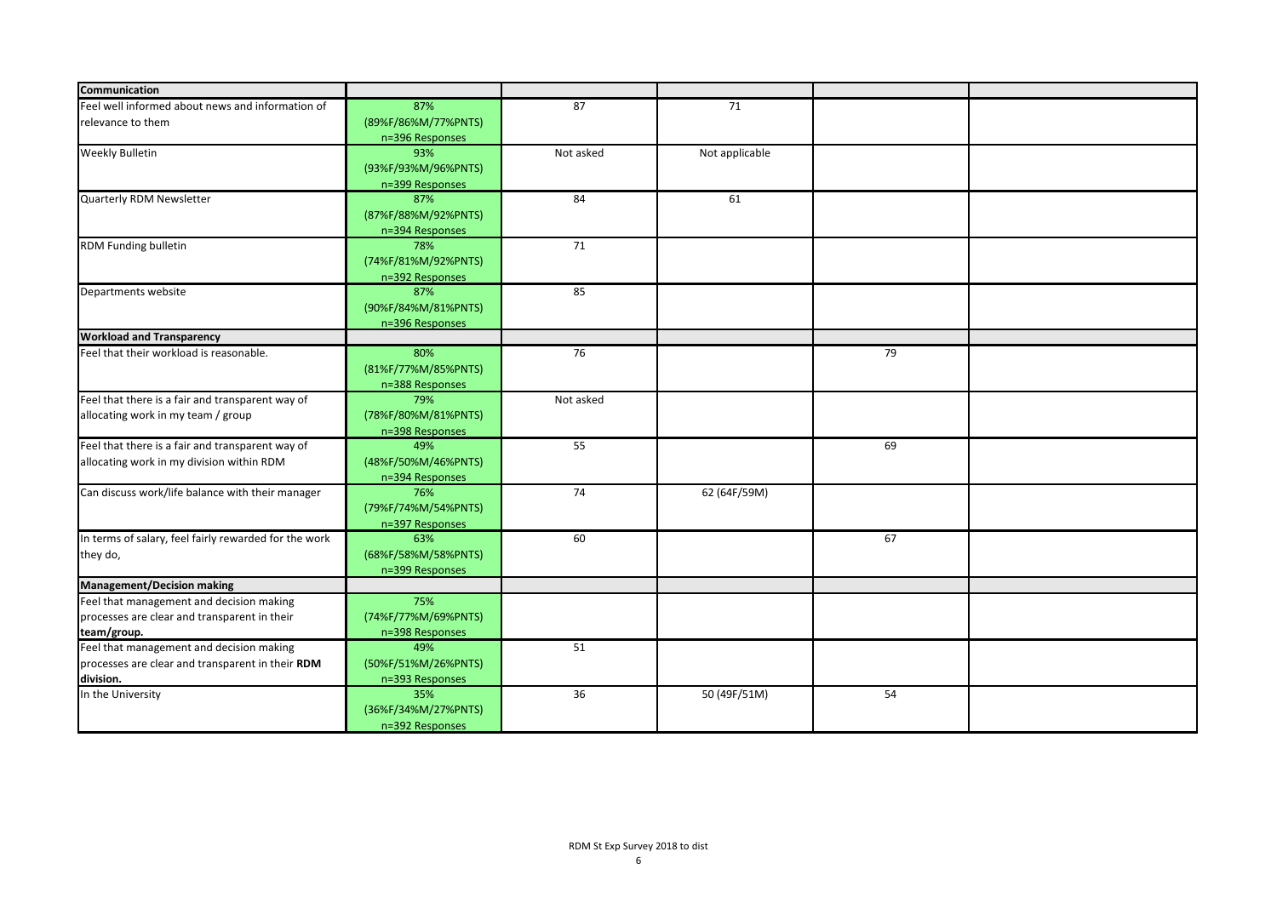| Communication                                         |                        |                 |                |    |  |
|-------------------------------------------------------|------------------------|-----------------|----------------|----|--|
|                                                       |                        |                 |                |    |  |
| Feel well informed about news and information of      | 87%                    | 87              | 71             |    |  |
| relevance to them                                     | (89%F/86%M/77%PNTS)    |                 |                |    |  |
|                                                       | n=396 Responses<br>93% | Not asked       |                |    |  |
| <b>Weekly Bulletin</b>                                |                        |                 | Not applicable |    |  |
|                                                       | (93%F/93%M/96%PNTS)    |                 |                |    |  |
|                                                       | n=399 Responses<br>87% | 84              | 61             |    |  |
| Quarterly RDM Newsletter                              | (87%F/88%M/92%PNTS)    |                 |                |    |  |
|                                                       |                        |                 |                |    |  |
| <b>RDM Funding bulletin</b>                           | n=394 Responses<br>78% | 71              |                |    |  |
|                                                       | (74%F/81%M/92%PNTS)    |                 |                |    |  |
|                                                       | n=392 Responses        |                 |                |    |  |
| Departments website                                   | 87%                    | 85              |                |    |  |
|                                                       | (90%F/84%M/81%PNTS)    |                 |                |    |  |
|                                                       | n=396 Responses        |                 |                |    |  |
| <b>Workload and Transparency</b>                      |                        |                 |                |    |  |
| Feel that their workload is reasonable.               | 80%                    | $\overline{76}$ |                | 79 |  |
|                                                       | (81%F/77%M/85%PNTS)    |                 |                |    |  |
|                                                       | n=388 Responses        |                 |                |    |  |
| Feel that there is a fair and transparent way of      | 79%                    | Not asked       |                |    |  |
| allocating work in my team / group                    | (78%F/80%M/81%PNTS)    |                 |                |    |  |
|                                                       | n=398 Responses        |                 |                |    |  |
| Feel that there is a fair and transparent way of      | 49%                    | 55              |                | 69 |  |
| allocating work in my division within RDM             | (48%F/50%M/46%PNTS)    |                 |                |    |  |
|                                                       | n=394 Responses        |                 |                |    |  |
| Can discuss work/life balance with their manager      | 76%                    | 74              | 62 (64F/59M)   |    |  |
|                                                       | (79%F/74%M/54%PNTS)    |                 |                |    |  |
|                                                       | n=397 Responses        |                 |                |    |  |
| In terms of salary, feel fairly rewarded for the work | 63%                    | 60              |                | 67 |  |
| they do,                                              | (68%F/58%M/58%PNTS)    |                 |                |    |  |
|                                                       | n=399 Responses        |                 |                |    |  |
| <b>Management/Decision making</b>                     |                        |                 |                |    |  |
| Feel that management and decision making              | 75%                    |                 |                |    |  |
| processes are clear and transparent in their          | (74%F/77%M/69%PNTS)    |                 |                |    |  |
| team/group.                                           | n=398 Responses        |                 |                |    |  |
| Feel that management and decision making              | 49%                    | 51              |                |    |  |
| processes are clear and transparent in their RDM      | (50%F/51%M/26%PNTS)    |                 |                |    |  |
| division.                                             | n=393 Responses        |                 |                |    |  |
| In the University                                     | 35%                    | 36              | 50 (49F/51M)   | 54 |  |
|                                                       | (36%F/34%M/27%PNTS)    |                 |                |    |  |
|                                                       | n=392 Responses        |                 |                |    |  |